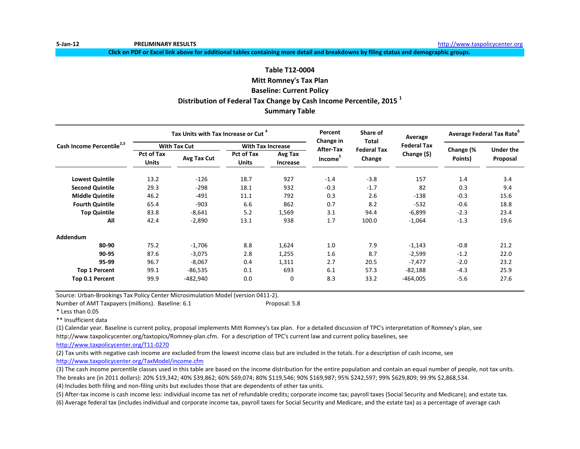**Click on PDF or Excel link above for additional tables containing more detail and breakdowns by filing status and demographic groups.**

# **Distribution of Federal Tax Change by Cash Income Percentile, 2015 <sup>1</sup> Summary Table Table T12-0004 Mitt Romney's Tax Plan Baseline: Current Policy**

|                                       |                                   | Tax Units with Tax Increase or Cut <sup>4</sup> |                            |                     | Percent<br>Change in | Share of<br>Total  | Average            | Average Federal Tax Rate <sup>6</sup> |                  |  |
|---------------------------------------|-----------------------------------|-------------------------------------------------|----------------------------|---------------------|----------------------|--------------------|--------------------|---------------------------------------|------------------|--|
| Cash Income Percentile <sup>2,3</sup> |                                   | <b>With Tax Cut</b>                             | <b>With Tax Increase</b>   |                     | After-Tax            | <b>Federal Tax</b> | <b>Federal Tax</b> | Change (%                             | <b>Under the</b> |  |
|                                       | <b>Pct of Tax</b><br><b>Units</b> | Avg Tax Cut                                     | Pct of Tax<br><b>Units</b> | Avg Tax<br>Increase | Income <sup>5</sup>  | Change             | Change (\$)        | Points)                               | Proposal         |  |
| <b>Lowest Quintile</b>                | 13.2                              | $-126$                                          | 18.7                       | 927                 | $-1.4$               | $-3.8$             | 157                | 1.4                                   | 3.4              |  |
| <b>Second Quintile</b>                | 29.3                              | $-298$                                          | 18.1                       | 932                 | $-0.3$               | $-1.7$             | 82                 | 0.3                                   | 9.4              |  |
| <b>Middle Quintile</b>                | 46.2                              | $-491$                                          | 11.1                       | 792                 | 0.3                  | 2.6                | $-138$             | $-0.3$                                | 15.6             |  |
| <b>Fourth Quintile</b>                | 65.4                              | $-903$                                          | 6.6                        | 862                 | 0.7                  | 8.2                | $-532$             | $-0.6$                                | 18.8             |  |
| <b>Top Quintile</b>                   | 83.8                              | $-8,641$                                        | 5.2                        | 1,569               | 3.1                  | 94.4               | $-6,899$           | $-2.3$                                | 23.4             |  |
| All                                   | 42.4                              | $-2,890$                                        | 13.1                       | 938                 | 1.7                  | 100.0              | $-1,064$           | $-1.3$                                | 19.6             |  |
| Addendum                              |                                   |                                                 |                            |                     |                      |                    |                    |                                       |                  |  |
| 80-90                                 | 75.2                              | $-1,706$                                        | 8.8                        | 1,624               | 1.0                  | 7.9                | $-1,143$           | $-0.8$                                | 21.2             |  |
| 90-95                                 | 87.6                              | $-3,075$                                        | 2.8                        | 1,255               | 1.6                  | 8.7                | $-2,599$           | $-1.2$                                | 22.0             |  |
| 95-99                                 | 96.7                              | $-8,067$                                        | 0.4                        | 1,311               | 2.7                  | 20.5               | $-7,477$           | $-2.0$                                | 23.2             |  |
| <b>Top 1 Percent</b>                  | 99.1                              | $-86,535$                                       | 0.1                        | 693                 | 6.1                  | 57.3               | $-82,188$          | $-4.3$                                | 25.9             |  |
| Top 0.1 Percent                       | 99.9                              | -482,940                                        | 0.0                        | $\mathbf 0$         | 8.3                  | 33.2               | $-464,005$         | $-5.6$                                | 27.6             |  |

Source: Urban-Brookings Tax Policy Center Microsimulation Model (version 0411-2).

Number of AMT Taxpayers (millions). Baseline: 6.1 Proposal: 5.8

\* Less than 0.05

\*\* Insufficient data

(1) Calendar year. Baseline is current policy, proposal implements Mitt Romney's tax plan. For a detailed discussion of TPC's interpretation of Romney's plan, see

http://www.taxpolicycenter.org/taxtopics/Romney-plan.cfm. For a description of TPC's current law and current policy baselines, see

[http://www.taxpolicycente](http://www.taxpolicycenter.org/T11-0270)r.org/T11-0270

(2) Tax units with negative cash income are excluded from the lowest income class but are included in the totals. For a description of cash income, see [http://www.taxpolicycente](http://www.taxpolicycenter.org/TaxModel/income.cfm)r.org/TaxModel/income.cfm

(3) The cash income percentile classes used in this table are based on the income distribution for the entire population and contain an equal number of people, not tax units. The breaks are (in 2011 dollars): 20% \$19,342; 40% \$39,862; 60% \$69,074; 80% \$119,546; 90% \$169,987; 95% \$242,597; 99% \$629,809; 99.9% \$2,868,534.

(4) Includes both filing and non-filing units but excludes those that are dependents of other tax units.

(6) Average federal tax (includes individual and corporate income tax, payroll taxes for Social Security and Medicare, and the estate tax) as a percentage of average cash (5) After-tax income is cash income less: individual income tax net of refundable credits; corporate income tax; payroll taxes (Social Security and Medicare); and estate tax.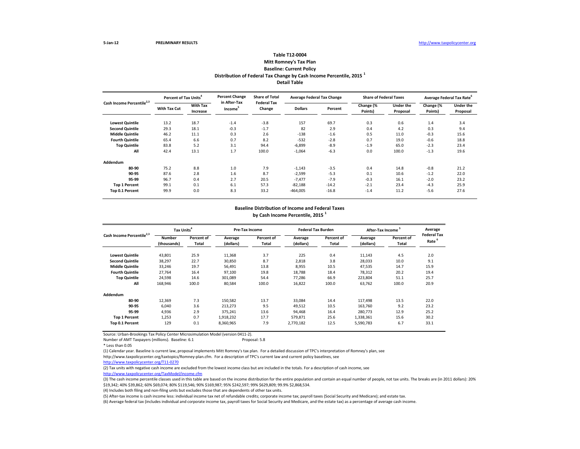### **Detail Table Table T12-0004 Mitt Romney's Tax Plan Baseline: Current Policy Distribution of Federal Tax Change by Cash Income Percentile, 2015 <sup>1</sup>**

| Cash Income Percentile <sup>2,3</sup> | Percent of Tax Units <sup>4</sup> |                             | <b>Percent Change</b>               | <b>Share of Total</b>        | <b>Average Federal Tax Change</b> |         | <b>Share of Federal Taxes</b> |                              | Average Federal Tax Rate <sup>6</sup> |                              |
|---------------------------------------|-----------------------------------|-----------------------------|-------------------------------------|------------------------------|-----------------------------------|---------|-------------------------------|------------------------------|---------------------------------------|------------------------------|
|                                       | With Tax Cut                      | <b>With Tax</b><br>Increase | in After-Tax<br>Income <sup>3</sup> | <b>Federal Tax</b><br>Change | <b>Dollars</b>                    | Percent | Change (%<br>Points)          | <b>Under the</b><br>Proposal | Change (%<br>Points)                  | <b>Under the</b><br>Proposal |
| <b>Lowest Quintile</b>                | 13.2                              | 18.7                        | $-1.4$                              | $-3.8$                       | 157                               | 69.7    | 0.3                           | 0.6                          | 1.4                                   | 3.4                          |
| <b>Second Quintile</b>                | 29.3                              | 18.1                        | $-0.3$                              | $-1.7$                       | 82                                | 2.9     | 0.4                           | 4.2                          | 0.3                                   | 9.4                          |
| <b>Middle Quintile</b>                | 46.2                              | 11.1                        | 0.3                                 | 2.6                          | $-138$                            | $-1.6$  | 0.5                           | 11.0                         | $-0.3$                                | 15.6                         |
| <b>Fourth Quintile</b>                | 65.4                              | 6.6                         | 0.7                                 | 8.2                          | $-532$                            | $-2.8$  | 0.7                           | 19.0                         | $-0.6$                                | 18.8                         |
| <b>Top Quintile</b>                   | 83.8                              | 5.2                         | 3.1                                 | 94.4                         | $-6,899$                          | $-8.9$  | $-1.9$                        | 65.0                         | $-2.3$                                | 23.4                         |
| All                                   | 42.4                              | 13.1                        | 1.7                                 | 100.0                        | $-1,064$                          | $-6.3$  | 0.0                           | 100.0                        | $-1.3$                                | 19.6                         |
| Addendum                              |                                   |                             |                                     |                              |                                   |         |                               |                              |                                       |                              |
| 80-90                                 | 75.2                              | 8.8                         | 1.0                                 | 7.9                          | $-1,143$                          | $-3.5$  | 0.4                           | 14.8                         | $-0.8$                                | 21.2                         |
| 90-95                                 | 87.6                              | 2.8                         | 1.6                                 | 8.7                          | $-2,599$                          | $-5.3$  | 0.1                           | 10.6                         | $-1.2$                                | 22.0                         |
| 95-99                                 | 96.7                              | 0.4                         | 2.7                                 | 20.5                         | $-7,477$                          | $-7.9$  | $-0.3$                        | 16.1                         | $-2.0$                                | 23.2                         |
| <b>Top 1 Percent</b>                  | 99.1                              | 0.1                         | 6.1                                 | 57.3                         | $-82,188$                         | $-14.2$ | $-2.1$                        | 23.4                         | $-4.3$                                | 25.9                         |
| Top 0.1 Percent                       | 99.9                              | 0.0                         | 8.3                                 | 33.2                         | $-464,005$                        | $-16.8$ | $-1.4$                        | 11.2                         | $-5.6$                                | 27.6                         |

### **Baseline Distribution of Income and Federal Taxes by Cash Income Percentile, 2015 <sup>1</sup>**

| Cash Income Percentile <sup>2,3</sup> |                              | Tax Units <sup>4</sup> |                      | Pre-Tax Income      |                      | <b>Federal Tax Burden</b> | After-Tax Income     |                     | Average                                 |
|---------------------------------------|------------------------------|------------------------|----------------------|---------------------|----------------------|---------------------------|----------------------|---------------------|-----------------------------------------|
|                                       | <b>Number</b><br>(thousands) | Percent of<br>Total    | Average<br>(dollars) | Percent of<br>Total | Average<br>(dollars) | Percent of<br>Total       | Average<br>(dollars) | Percent of<br>Total | <b>Federal Tax</b><br>Rate <sup>6</sup> |
| <b>Lowest Quintile</b>                | 43,801                       | 25.9                   | 11,368               | 3.7                 | 225                  | 0.4                       | 11,143               | 4.5                 | 2.0                                     |
| <b>Second Quintile</b>                | 38,297                       | 22.7                   | 30,850               | 8.7                 | 2,818                | 3.8                       | 28,033               | 10.0                | 9.1                                     |
| <b>Middle Quintile</b>                | 33,246                       | 19.7                   | 56,491               | 13.8                | 8,955                | 10.5                      | 47,535               | 14.7                | 15.9                                    |
| <b>Fourth Quintile</b>                | 27,764                       | 16.4                   | 97,100               | 19.8                | 18,788               | 18.4                      | 78,312               | 20.2                | 19.4                                    |
| <b>Top Quintile</b>                   | 24,598                       | 14.6                   | 301,089              | 54.4                | 77,286               | 66.9                      | 223,804              | 51.1                | 25.7                                    |
| All                                   | 168,946                      | 100.0                  | 80,584               | 100.0               | 16,822               | 100.0                     | 63,762               | 100.0               | 20.9                                    |
| Addendum                              |                              |                        |                      |                     |                      |                           |                      |                     |                                         |
| 80-90                                 | 12,369                       | 7.3                    | 150,582              | 13.7                | 33,084               | 14.4                      | 117,498              | 13.5                | 22.0                                    |
| 90-95                                 | 6,040                        | 3.6                    | 213,273              | 9.5                 | 49,512               | 10.5                      | 163,760              | 9.2                 | 23.2                                    |
| 95-99                                 | 4,936                        | 2.9                    | 375,241              | 13.6                | 94,468               | 16.4                      | 280.773              | 12.9                | 25.2                                    |
| <b>Top 1 Percent</b>                  | 1,253                        | 0.7                    | 1,918,232            | 17.7                | 579,871              | 25.6                      | 1,338,361            | 15.6                | 30.2                                    |
| Top 0.1 Percent                       | 129                          | 0.1                    | 8,360,965            | 7.9                 | 2,770,182            | 12.5                      | 5,590,783            | 6.7                 | 33.1                                    |

Source: Urban-Brookings Tax Policy Center Microsimulation Model (version 0411-2).

Number of AMT Taxpayers (millions). Baseline: 6.1 Proposal: 5.8

\* Less than 0.05

(1) Calendar year. Baseline is current law, proposal implements Mitt Romney's tax plan. For a detailed discussion of TPC's interpretation of Romney's plan, see

http://www.taxpolicycenter.org/taxtopics/Romney-plan.cfm. For a description of TPC's current law and current policy baselines, see

[http://www.taxpolicycente](http://www.taxpolicycenter.org/T11-0270)r.org/T11-0270

(2) Tax units with negative cash income are excluded from the lowest income class but are included in the totals. For a description of cash income, see

[http://www.taxpolicycente](http://www.taxpolicycenter.org/TaxModel/income.cfm)r.org/TaxModel/income.cfm

(3) The cash income percentile classes used in this table are based on the income distribution for the entire population and contain an equal number of people, not tax units. The breaks are (in 2011 dollars): 20% \$19,342; 40% \$39,862; 60% \$69,074; 80% \$119,546; 90% \$169,987; 95% \$242,597; 99% \$629,809; 99.9% \$2,868,534.

(4) Includes both filing and non-filing units but excludes those that are dependents of other tax units.

(5) After-tax income is cash income less: individual income tax net of refundable credits; corporate income tax; payroll taxes (Social Security and Medicare); and estate tax.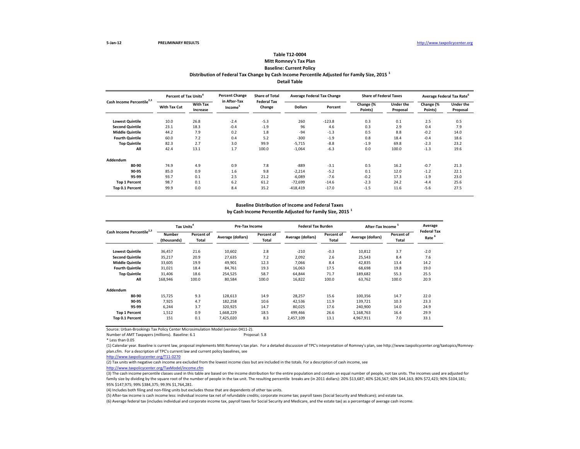### **Distribution of Federal Tax Change by Cash Income Percentile Adjusted for Family Size, 2015 <sup>1</sup> Detail Table Table T12-0004 Mitt Romney's Tax Plan Baseline: Current Policy**

| Cash Income Percentile <sup>2,3</sup> | Percent of Tax Units <sup>4</sup> |                             | <b>Percent Change</b>               | <b>Share of Total</b><br><b>Federal Tax</b> | <b>Average Federal Tax Change</b> |          | <b>Share of Federal Taxes</b> |                              | Average Federal Tax Rate <sup>6</sup> |                              |
|---------------------------------------|-----------------------------------|-----------------------------|-------------------------------------|---------------------------------------------|-----------------------------------|----------|-------------------------------|------------------------------|---------------------------------------|------------------------------|
|                                       | With Tax Cut                      | <b>With Tax</b><br>Increase | in After-Tax<br>Income <sup>3</sup> | Change                                      | <b>Dollars</b>                    | Percent  | Change (%<br>Points)          | <b>Under the</b><br>Proposal | Change (%<br>Points)                  | <b>Under the</b><br>Proposal |
| <b>Lowest Quintile</b>                | 10.0                              | 26.8                        | $-2.4$                              | $-5.3$                                      | 260                               | $-123.8$ | 0.3                           | 0.1                          | 2.5                                   | 0.5                          |
| <b>Second Quintile</b>                | 23.1                              | 18.3                        | $-0.4$                              | $-1.9$                                      | 96                                | 4.6      | 0.3                           | 2.9                          | 0.4                                   | 7.9                          |
| <b>Middle Quintile</b>                | 44.2                              | 7.9                         | 0.2                                 | 1.8                                         | $-94$                             | $-1.3$   | 0.5                           | 8.8                          | $-0.2$                                | 14.0                         |
| <b>Fourth Quintile</b>                | 60.0                              | 7.2                         | 0.4                                 | 5.2                                         | $-300$                            | $-1.9$   | 0.8                           | 18.4                         | $-0.4$                                | 18.6                         |
| <b>Top Quintile</b>                   | 82.3                              | 2.7                         | 3.0                                 | 99.9                                        | $-5,715$                          | $-8.8$   | $-1.9$                        | 69.8                         | $-2.3$                                | 23.2                         |
| All                                   | 42.4                              | 13.1                        | 1.7                                 | 100.0                                       | $-1,064$                          | $-6.3$   | 0.0                           | 100.0                        | $-1.3$                                | 19.6                         |
| <b>Addendum</b>                       |                                   |                             |                                     |                                             |                                   |          |                               |                              |                                       |                              |
| 80-90                                 | 74.9                              | 4.9                         | 0.9                                 | 7.8                                         | $-889$                            | $-3.1$   | 0.5                           | 16.2                         | $-0.7$                                | 21.3                         |
| 90-95                                 | 85.0                              | 0.9                         | 1.6                                 | 9.8                                         | $-2,214$                          | $-5.2$   | 0.1                           | 12.0                         | $-1.2$                                | 22.1                         |
| 95-99                                 | 93.7                              | 0.1                         | 2.5                                 | 21.2                                        | $-6,089$                          | $-7.6$   | $-0.2$                        | 17.3                         | $-1.9$                                | 23.0                         |
| <b>Top 1 Percent</b>                  | 98.7                              | 0.1                         | 6.2                                 | 61.2                                        | $-72,699$                         | $-14.6$  | $-2.3$                        | 24.2                         | $-4.4$                                | 25.6                         |
| Top 0.1 Percent                       | 99.9                              | 0.0                         | 8.4                                 | 35.2                                        | $-418,419$                        | $-17.0$  | $-1.5$                        | 11.6                         | $-5.6$                                | 27.5                         |

#### **Baseline Distribution of Income and Federal Taxes**

**by Cash Income Percentile Adjusted for Family Size, 2015 <sup>1</sup>**

|                                       | Tax Units <sup>4</sup>       |                     | Pre-Tax Income    |                     | <b>Federal Tax Burden</b> |                     | After-Tax Income  |                     | Average<br><b>Federal Tax</b> |
|---------------------------------------|------------------------------|---------------------|-------------------|---------------------|---------------------------|---------------------|-------------------|---------------------|-------------------------------|
| Cash Income Percentile <sup>2,3</sup> | <b>Number</b><br>(thousands) | Percent of<br>Total | Average (dollars) | Percent of<br>Total | Average (dollars)         | Percent of<br>Total | Average (dollars) | Percent of<br>Total | Rate <sup>6</sup>             |
| <b>Lowest Quintile</b>                | 36,457                       | 21.6                | 10,602            | 2.8                 | $-210$                    | $-0.3$              | 10,812            | 3.7                 | $-2.0$                        |
| <b>Second Quintile</b>                | 35,217                       | 20.9                | 27.635            | 7.2                 | 2,092                     | 2.6                 | 25,543            | 8.4                 | 7.6                           |
| <b>Middle Quintile</b>                | 33,605                       | 19.9                | 49,901            | 12.3                | 7,066                     | 8.4                 | 42,835            | 13.4                | 14.2                          |
| <b>Fourth Quintile</b>                | 31,021                       | 18.4                | 84,761            | 19.3                | 16,063                    | 17.5                | 68,698            | 19.8                | 19.0                          |
| <b>Top Quintile</b>                   | 31,406                       | 18.6                | 254,525           | 58.7                | 64,844                    | 71.7                | 189,682           | 55.3                | 25.5                          |
| All                                   | 168,946                      | 100.0               | 80,584            | 100.0               | 16,822                    | 100.0               | 63,762            | 100.0               | 20.9                          |
| Addendum                              |                              |                     |                   |                     |                           |                     |                   |                     |                               |
| 80-90                                 | 15,725                       | 9.3                 | 128,613           | 14.9                | 28,257                    | 15.6                | 100,356           | 14.7                | 22.0                          |
| 90-95                                 | 7.925                        | 4.7                 | 182,258           | 10.6                | 42,536                    | 11.9                | 139,721           | 10.3                | 23.3                          |
| 95-99                                 | 6,244                        | 3.7                 | 320,925           | 14.7                | 80,025                    | 17.6                | 240,900           | 14.0                | 24.9                          |
| <b>Top 1 Percent</b>                  | 1,512                        | 0.9                 | 1,668,229         | 18.5                | 499.466                   | 26.6                | 1,168,763         | 16.4                | 29.9                          |
| Top 0.1 Percent                       | 151                          | 0.1                 | 7,425,020         | 8.3                 | 2,457,109                 | 13.1                | 4,967,911         | 7.0                 | 33.1                          |

Source: Urban-Brookings Tax Policy Center Microsimulation Model (version 0411-2).

Number of AMT Taxpayers (millions). Baseline: 6.1 Proposal: 5.8

\* Less than 0.05

(1) Calendar year. Baseline is current law, proposal implements Mitt Romney's tax plan. For a detailed discussion of TPC's interpretation of Romney's plan, see http://www.taxpolicycenter.org/taxtopics/Romneyplan.cfm. For a description of TPC's current law and current policy baselines, see

[http://www.taxpolicycente](http://www.taxpolicycenter.org/T11-0270)r.org/T11-0270

(2) Tax units with negative cash income are excluded from the lowest income class but are included in the totals. For a description of cash income, see

[http://www.taxpolicycente](http://www.taxpolicycenter.org/TaxModel/income.cfm)r.org/TaxModel/income.cfm

(3) The cash income percentile classes used in this table are based on the income distribution for the entire population and contain an equal number of people, not tax units. The incomes used are adjusted for family size by dividing by the square root of the number of people in the tax unit. The resulting percentile breaks are (in 2011 dollars): 20% \$13,687; 40% \$26,567; 60% \$44,163; 80% \$72,423; 90% \$104,181; 95% \$147,975; 99% \$384,375; 99.9% \$1,764,281.

(4) Includes both filing and non-filing units but excludes those that are dependents of other tax units.

(5) After-tax income is cash income less: individual income tax net of refundable credits; corporate income tax; payroll taxes (Social Security and Medicare); and estate tax.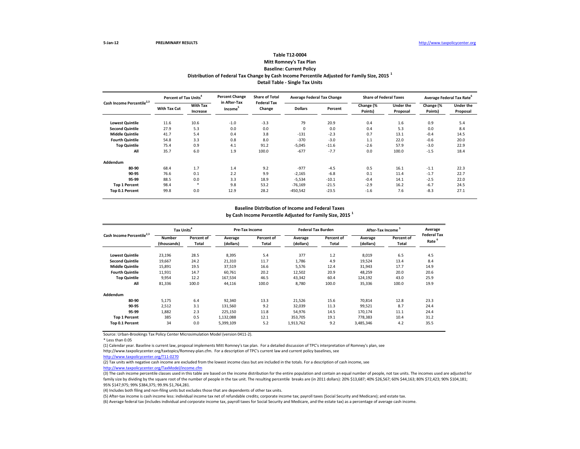## **Table T12-0004**

#### **Mitt Romney's Tax Plan Baseline: Current Policy**

### **Distribution of Federal Tax Change by Cash Income Percentile Adjusted for Family Size, 2015 <sup>1</sup> Detail Table - Single Tax Units**

| Cash Income Percentile <sup>2,3</sup> | Percent of Tax Units <sup>4</sup> |                             | <b>Percent Change</b><br>in After-Tax | <b>Share of Total</b>        |                | <b>Average Federal Tax Change</b> | <b>Share of Federal Taxes</b> |                              |                      | Average Federal Tax Rate <sup>6</sup> |
|---------------------------------------|-----------------------------------|-----------------------------|---------------------------------------|------------------------------|----------------|-----------------------------------|-------------------------------|------------------------------|----------------------|---------------------------------------|
|                                       | With Tax Cut                      | <b>With Tax</b><br>Increase | Income <sup>5</sup>                   | <b>Federal Tax</b><br>Change | <b>Dollars</b> | Percent                           | Change (%<br>Points)          | <b>Under the</b><br>Proposal | Change (%<br>Points) | <b>Under the</b><br>Proposal          |
| <b>Lowest Quintile</b>                | 11.6                              | 10.6                        | $-1.0$                                | $-3.3$                       | 79             | 20.9                              | 0.4                           | 1.6                          | 0.9                  | 5.4                                   |
| <b>Second Quintile</b>                | 27.9                              | 5.3                         | 0.0                                   | 0.0                          | 0              | 0.0                               | 0.4                           | 5.3                          | 0.0                  | 8.4                                   |
| <b>Middle Quintile</b>                | 41.7                              | 5.4                         | 0.4                                   | 3.8                          | $-131$         | $-2.3$                            | 0.7                           | 13.1                         | $-0.4$               | 14.5                                  |
| <b>Fourth Quintile</b>                | 54.8                              | 3.3                         | 0.8                                   | 8.0                          | $-370$         | $-3.0$                            | 1.1                           | 22.0                         | $-0.6$               | 20.0                                  |
| <b>Top Quintile</b>                   | 75.4                              | 0.9                         | 4.1                                   | 91.2                         | $-5,045$       | $-11.6$                           | $-2.6$                        | 57.9                         | $-3.0$               | 22.9                                  |
| All                                   | 35.7                              | 6.0                         | 1.9                                   | 100.0                        | $-677$         | $-7.7$                            | 0.0                           | 100.0                        | $-1.5$               | 18.4                                  |
| Addendum                              |                                   |                             |                                       |                              |                |                                   |                               |                              |                      |                                       |
| 80-90                                 | 68.4                              | 1.7                         | 1.4                                   | 9.2                          | $-977$         | $-4.5$                            | 0.5                           | 16.1                         | $-1.1$               | 22.3                                  |
| 90-95                                 | 76.6                              | 0.1                         | 2.2                                   | 9.9                          | $-2,165$       | $-6.8$                            | 0.1                           | 11.4                         | $-1.7$               | 22.7                                  |
| 95-99                                 | 88.5                              | 0.0                         | 3.3                                   | 18.9                         | $-5,534$       | $-10.1$                           | $-0.4$                        | 14.1                         | $-2.5$               | 22.0                                  |
| <b>Top 1 Percent</b>                  | 98.4                              | ×                           | 9.8                                   | 53.2                         | $-76,169$      | $-21.5$                           | $-2.9$                        | 16.2                         | $-6.7$               | 24.5                                  |
| Top 0.1 Percent                       | 99.8                              | 0.0                         | 12.9                                  | 28.2                         | $-450,542$     | $-23.5$                           | $-1.6$                        | 7.6                          | $-8.3$               | 27.1                                  |

# **Baseline Distribution of Income and Federal Taxes**

**by Cash Income Percentile Adjusted for Family Size, 2015 <sup>1</sup>**

| Cash Income Percentile <sup>2,3</sup> |                              | Tax Units <sup>4</sup> |                      | Pre-Tax Income      |                      | <b>Federal Tax Burden</b> | After-Tax Income <sup>5</sup> |                     | Average                                 |
|---------------------------------------|------------------------------|------------------------|----------------------|---------------------|----------------------|---------------------------|-------------------------------|---------------------|-----------------------------------------|
|                                       | <b>Number</b><br>(thousands) | Percent of<br>Total    | Average<br>(dollars) | Percent of<br>Total | Average<br>(dollars) | Percent of<br>Total       | Average<br>(dollars)          | Percent of<br>Total | <b>Federal Tax</b><br>Rate <sup>6</sup> |
| <b>Lowest Quintile</b>                | 23,196                       | 28.5                   | 8,395                | 5.4                 | 377                  | 1.2                       | 8,019                         | 6.5                 | 4.5                                     |
| <b>Second Quintile</b>                | 19,667                       | 24.2                   | 21,310               | 11.7                | 1,786                | 4.9                       | 19,524                        | 13.4                | 8.4                                     |
| <b>Middle Quintile</b>                | 15,891                       | 19.5                   | 37,519               | 16.6                | 5,576                | 12.4                      | 31,943                        | 17.7                | 14.9                                    |
| <b>Fourth Quintile</b>                | 11,931                       | 14.7                   | 60,761               | 20.2                | 12,502               | 20.9                      | 48,259                        | 20.0                | 20.6                                    |
| <b>Top Quintile</b>                   | 9,954                        | 12.2                   | 167,534              | 46.5                | 43,342               | 60.4                      | 124,192                       | 43.0                | 25.9                                    |
| All                                   | 81,336                       | 100.0                  | 44,116               | 100.0               | 8,780                | 100.0                     | 35,336                        | 100.0               | 19.9                                    |
| Addendum                              |                              |                        |                      |                     |                      |                           |                               |                     |                                         |
| 80-90                                 | 5,175                        | 6.4                    | 92,340               | 13.3                | 21,526               | 15.6                      | 70,814                        | 12.8                | 23.3                                    |
| 90-95                                 | 2,512                        | 3.1                    | 131,560              | 9.2                 | 32,039               | 11.3                      | 99,521                        | 8.7                 | 24.4                                    |
| 95-99                                 | 1,882                        | 2.3                    | 225,150              | 11.8                | 54,976               | 14.5                      | 170,174                       | 11.1                | 24.4                                    |
| <b>Top 1 Percent</b>                  | 385                          | 0.5                    | 1,132,088            | 12.1                | 353,705              | 19.1                      | 778,383                       | 10.4                | 31.2                                    |
| Top 0.1 Percent                       | 34                           | 0.0                    | 5,399,109            | 5.2                 | 1,913,762            | 9.2                       | 3,485,346                     | 4.2                 | 35.5                                    |

Source: Urban-Brookings Tax Policy Center Microsimulation Model (version 0411-2).

\* Less than 0.05

(1) Calendar year. Baseline is current law, proposal implements Mitt Romney's tax plan. For a detailed discussion of TPC's interpretation of Romney's plan, see

http://www.taxpolicycenter.org/taxtopics/Romney-plan.cfm. For a description of TPC's current law and current policy baselines, see

[http://www.taxpolicycente](http://www.taxpolicycenter.org/T11-0270)r.org/T11-0270

(2) Tax units with negative cash income are excluded from the lowest income class but are included in the totals. For a description of cash income, see

[http://www.taxpolicycente](http://www.taxpolicycenter.org/TaxModel/income.cfm)r.org/TaxModel/income.cfm

(3) The cash income percentile classes used in this table are based on the income distribution for the entire population and contain an equal number of people, not tax units. The incomes used are adjusted for family size by dividing by the square root of the number of people in the tax unit. The resulting percentile breaks are (in 2011 dollars): 20% \$13,687; 40% \$26,567; 60% \$44,163; 80% \$72,423; 90% \$104,181; 95% \$147,975; 99% \$384,375; 99.9% \$1,764,281.

(4) Includes both filing and non-filing units but excludes those that are dependents of other tax units.

(5) After-tax income is cash income less: individual income tax net of refundable credits; corporate income tax; payroll taxes (Social Security and Medicare); and estate tax.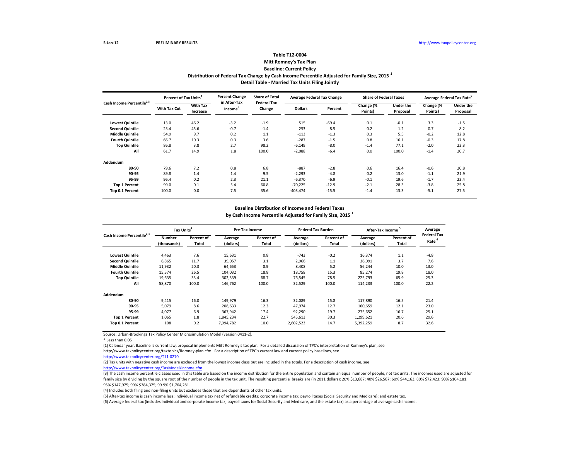### **Table T12-0004 Mitt Romney's Tax Plan**

## **Distribution of Federal Tax Change by Cash Income Percentile Adjusted for Family Size, 2015 <sup>1</sup> Baseline: Current Policy**

**Detail Table - Married Tax Units Filing Jointly**

| Cash Income Percentile <sup>2,3</sup> | Percent of Tax Units <sup>4</sup> |                             | <b>Percent Change</b><br>in After-Tax | <b>Share of Total</b><br><b>Federal Tax</b> |                | <b>Average Federal Tax Change</b> | <b>Share of Federal Taxes</b> |                       |                      | Average Federal Tax Rate <sup>6</sup> |
|---------------------------------------|-----------------------------------|-----------------------------|---------------------------------------|---------------------------------------------|----------------|-----------------------------------|-------------------------------|-----------------------|----------------------|---------------------------------------|
|                                       | With Tax Cut                      | <b>With Tax</b><br>Increase | <b>Income</b> <sup>5</sup>            | Change                                      | <b>Dollars</b> | Percent                           | Change (%<br>Points)          | Under the<br>Proposal | Change (%<br>Points) | <b>Under the</b><br>Proposal          |
| <b>Lowest Quintile</b>                | 13.0                              | 46.2                        | $-3.2$                                | $-1.9$                                      | 515            | $-69.4$                           | 0.1                           | $-0.1$                | 3.3                  | $-1.5$                                |
| <b>Second Quintile</b>                | 23.4                              | 45.6                        | $-0.7$                                | $-1.4$                                      | 253            | 8.5                               | 0.2                           | 1.2                   | 0.7                  | 8.2                                   |
| <b>Middle Quintile</b>                | 54.9                              | 9.7                         | 0.2                                   | 1.1                                         | $-113$         | $-1.3$                            | 0.3                           | 5.5                   | $-0.2$               | 12.8                                  |
| <b>Fourth Quintile</b>                | 66.7                              | 10.3                        | 0.3                                   | 3.6                                         | $-287$         | $-1.5$                            | 0.8                           | 16.1                  | $-0.3$               | 17.8                                  |
| <b>Top Quintile</b>                   | 86.8                              | 3.8                         | 2.7                                   | 98.2                                        | $-6,149$       | $-8.0$                            | $-1.4$                        | 77.1                  | $-2.0$               | 23.3                                  |
| All                                   | 61.7                              | 14.9                        | 1.8                                   | 100.0                                       | $-2,088$       | $-6.4$                            | 0.0                           | 100.0                 | $-1.4$               | 20.7                                  |
| Addendum                              |                                   |                             |                                       |                                             |                |                                   |                               |                       |                      |                                       |
| 80-90                                 | 79.6                              | 7.2                         | 0.8                                   | 6.8                                         | $-887$         | $-2.8$                            | 0.6                           | 16.4                  | $-0.6$               | 20.8                                  |
| 90-95                                 | 89.8                              | 1.4                         | 1.4                                   | 9.5                                         | $-2,293$       | $-4.8$                            | 0.2                           | 13.0                  | $-1.1$               | 21.9                                  |
| 95-99                                 | 96.4                              | 0.2                         | 2.3                                   | 21.1                                        | $-6,370$       | $-6.9$                            | $-0.1$                        | 19.6                  | $-1.7$               | 23.4                                  |
| <b>Top 1 Percent</b>                  | 99.0                              | 0.1                         | 5.4                                   | 60.8                                        | $-70,225$      | $-12.9$                           | $-2.1$                        | 28.3                  | $-3.8$               | 25.8                                  |
| Top 0.1 Percent                       | 100.0                             | 0.0                         | 7.5                                   | 35.6                                        | $-403,474$     | $-15.5$                           | $-1.4$                        | 13.3                  | $-5.1$               | 27.5                                  |

# **Baseline Distribution of Income and Federal Taxes**

**by Cash Income Percentile Adjusted for Family Size, 2015 <sup>1</sup>**

| Cash Income Percentile <sup>2,3</sup> |                              | Tax Units <sup>4</sup> |                      | Pre-Tax Income      |                      | <b>Federal Tax Burden</b> |                      | After-Tax Income <sup>5</sup> | Average                                 |
|---------------------------------------|------------------------------|------------------------|----------------------|---------------------|----------------------|---------------------------|----------------------|-------------------------------|-----------------------------------------|
|                                       | <b>Number</b><br>(thousands) | Percent of<br>Total    | Average<br>(dollars) | Percent of<br>Total | Average<br>(dollars) | Percent of<br>Total       | Average<br>(dollars) | Percent of<br>Total           | <b>Federal Tax</b><br>Rate <sup>6</sup> |
| <b>Lowest Quintile</b>                | 4,463                        | 7.6                    | 15,631               | 0.8                 | $-743$               | $-0.2$                    | 16,374               | 1.1                           | $-4.8$                                  |
| <b>Second Quintile</b>                | 6,865                        | 11.7                   | 39,057               | 3.1                 | 2,966                | 1.1                       | 36,091               | 3.7                           | 7.6                                     |
| <b>Middle Quintile</b>                | 11,932                       | 20.3                   | 64,653               | 8.9                 | 8,408                | 5.2                       | 56,244               | 10.0                          | 13.0                                    |
| <b>Fourth Quintile</b>                | 15,574                       | 26.5                   | 104,032              | 18.8                | 18,758               | 15.3                      | 85,274               | 19.8                          | 18.0                                    |
| <b>Top Quintile</b>                   | 19,635                       | 33.4                   | 302,339              | 68.7                | 76,545               | 78.5                      | 225,793              | 65.9                          | 25.3                                    |
| All                                   | 58,870                       | 100.0                  | 146,762              | 100.0               | 32,529               | 100.0                     | 114,233              | 100.0                         | 22.2                                    |
| Addendum                              |                              |                        |                      |                     |                      |                           |                      |                               |                                         |
| 80-90                                 | 9.415                        | 16.0                   | 149,979              | 16.3                | 32,089               | 15.8                      | 117,890              | 16.5                          | 21.4                                    |
| 90-95                                 | 5,079                        | 8.6                    | 208,633              | 12.3                | 47,974               | 12.7                      | 160,659              | 12.1                          | 23.0                                    |
| 95-99                                 | 4,077                        | 6.9                    | 367,942              | 17.4                | 92,290               | 19.7                      | 275,652              | 16.7                          | 25.1                                    |
| <b>Top 1 Percent</b>                  | 1,065                        | 1.8                    | 1,845,234            | 22.7                | 545,613              | 30.3                      | 1,299,621            | 20.6                          | 29.6                                    |
| Top 0.1 Percent                       | 108                          | 0.2                    | 7,994,782            | 10.0                | 2,602,523            | 14.7                      | 5,392,259            | 8.7                           | 32.6                                    |

Source: Urban-Brookings Tax Policy Center Microsimulation Model (version 0411-2).

\* Less than 0.05

(1) Calendar year. Baseline is current law, proposal implements Mitt Romney's tax plan. For a detailed discussion of TPC's interpretation of Romney's plan, see

http://www.taxpolicycenter.org/taxtopics/Romney-plan.cfm. For a description of TPC's current law and current policy baselines, see

[http://www.taxpolicycente](http://www.taxpolicycenter.org/T11-0270)r.org/T11-0270

(2) Tax units with negative cash income are excluded from the lowest income class but are included in the totals. For a description of cash income, see

[http://www.taxpolicycente](http://www.taxpolicycenter.org/TaxModel/income.cfm)r.org/TaxModel/income.cfm

(3) The cash income percentile classes used in this table are based on the income distribution for the entire population and contain an equal number of people, not tax units. The incomes used are adjusted for family size by dividing by the square root of the number of people in the tax unit. The resulting percentile breaks are (in 2011 dollars): 20% \$13,687; 40% \$26,567; 60% \$44,163; 80% \$72,423; 90% \$104,181; 95% \$147,975; 99% \$384,375; 99.9% \$1,764,281.

(4) Includes both filing and non-filing units but excludes those that are dependents of other tax units.

(5) After-tax income is cash income less: individual income tax net of refundable credits; corporate income tax; payroll taxes (Social Security and Medicare); and estate tax.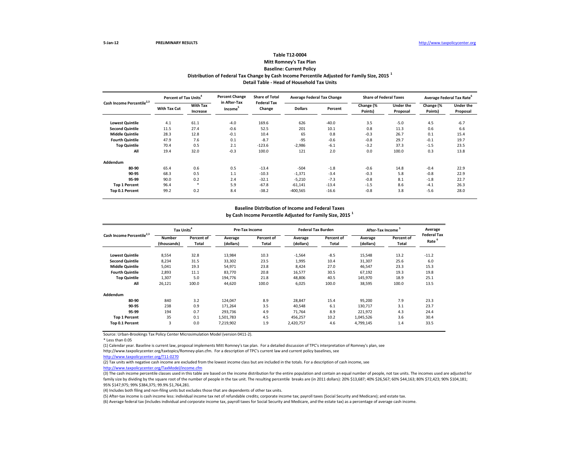## **Table T12-0004**

### **Mitt Romney's Tax Plan Baseline: Current Policy**

**Distribution of Federal Tax Change by Cash Income Percentile Adjusted for Family Size, 2015 <sup>1</sup>**

**Detail Table - Head of Household Tax Units**

| Cash Income Percentile <sup>2,3</sup> | Percent of Tax Units <sup>4</sup> |                             | <b>Percent Change</b><br>in After-Tax | <b>Share of Total</b><br><b>Federal Tax</b> | <b>Average Federal Tax Change</b> |         | <b>Share of Federal Taxes</b> |                              |                      | Average Federal Tax Rate <sup>6</sup> |
|---------------------------------------|-----------------------------------|-----------------------------|---------------------------------------|---------------------------------------------|-----------------------------------|---------|-------------------------------|------------------------------|----------------------|---------------------------------------|
|                                       | <b>With Tax Cut</b>               | <b>With Tax</b><br>Increase | Income <sup>5</sup>                   | Change                                      | <b>Dollars</b>                    | Percent | Change (%<br>Points)          | <b>Under the</b><br>Proposal | Change (%<br>Points) | <b>Under the</b><br>Proposal          |
| <b>Lowest Quintile</b>                | 4.1                               | 61.1                        | $-4.0$                                | 169.6                                       | 626                               | $-40.0$ | 3.5                           | $-5.0$                       | 4.5                  | $-6.7$                                |
| <b>Second Quintile</b>                | 11.5                              | 27.4                        | $-0.6$                                | 52.5                                        | 201                               | 10.1    | 0.8                           | 11.3                         | 0.6                  | 6.6                                   |
| <b>Middle Quintile</b>                | 28.3                              | 12.8                        | $-0.1$                                | 10.4                                        | 65                                | 0.8     | $-0.3$                        | 26.7                         | 0.1                  | 15.4                                  |
| <b>Fourth Quintile</b>                | 47.9                              | 7.6                         | 0.1                                   | $-8.7$                                      | $-95$                             | $-0.6$  | $-0.8$                        | 29.7                         | $-0.1$               | 19.7                                  |
| <b>Top Quintile</b>                   | 70.4                              | 0.5                         | 2.1                                   | $-123.6$                                    | $-2,986$                          | $-6.1$  | $-3.2$                        | 37.3                         | $-1.5$               | 23.5                                  |
| All                                   | 19.4                              | 32.0                        | $-0.3$                                | 100.0                                       | 121                               | 2.0     | 0.0                           | 100.0                        | 0.3                  | 13.8                                  |
| Addendum                              |                                   |                             |                                       |                                             |                                   |         |                               |                              |                      |                                       |
| 80-90                                 | 65.4                              | 0.6                         | 0.5                                   | $-13.4$                                     | $-504$                            | $-1.8$  | $-0.6$                        | 14.8                         | $-0.4$               | 22.9                                  |
| 90-95                                 | 68.3                              | 0.5                         | 1.1                                   | $-10.3$                                     | $-1,371$                          | $-3.4$  | $-0.3$                        | 5.8                          | $-0.8$               | 22.9                                  |
| 95-99                                 | 90.0                              | 0.2                         | 2.4                                   | $-32.1$                                     | $-5,210$                          | $-7.3$  | $-0.8$                        | 8.1                          | $-1.8$               | 22.7                                  |
| <b>Top 1 Percent</b>                  | 96.4                              | ×                           | 5.9                                   | $-67.8$                                     | $-61,141$                         | $-13.4$ | $-1.5$                        | 8.6                          | $-4.1$               | 26.3                                  |
| Top 0.1 Percent                       | 99.2                              | 0.2                         | 8.4                                   | $-38.2$                                     | $-400,565$                        | $-16.6$ | $-0.8$                        | 3.8                          | $-5.6$               | 28.0                                  |

# **Baseline Distribution of Income and Federal Taxes**

**by Cash Income Percentile Adjusted for Family Size, 2015 <sup>1</sup>**

| Cash Income Percentile <sup>2,3</sup> | Tax Units <sup>4</sup>       |                     |                      | Pre-Tax Income      |                      | <b>Federal Tax Burden</b> |                      | After-Tax Income <sup>5</sup> | Average                                 |
|---------------------------------------|------------------------------|---------------------|----------------------|---------------------|----------------------|---------------------------|----------------------|-------------------------------|-----------------------------------------|
|                                       | <b>Number</b><br>(thousands) | Percent of<br>Total | Average<br>(dollars) | Percent of<br>Total | Average<br>(dollars) | Percent of<br>Total       | Average<br>(dollars) | Percent of<br>Total           | <b>Federal Tax</b><br>Rate <sup>6</sup> |
| <b>Lowest Quintile</b>                | 8,554                        | 32.8                | 13,984               | 10.3                | $-1,564$             | $-8.5$                    | 15,548               | 13.2                          | $-11.2$                                 |
| <b>Second Quintile</b>                | 8,234                        | 31.5                | 33,302               | 23.5                | 1,995                | 10.4                      | 31,307               | 25.6                          | 6.0                                     |
| <b>Middle Quintile</b>                | 5,041                        | 19.3                | 54,971               | 23.8                | 8,424                | 27.0                      | 46,547               | 23.3                          | 15.3                                    |
| <b>Fourth Quintile</b>                | 2,893                        | 11.1                | 83,770               | 20.8                | 16,577               | 30.5                      | 67,192               | 19.3                          | 19.8                                    |
| <b>Top Quintile</b>                   | 1,307                        | 5.0                 | 194,776              | 21.8                | 48,806               | 40.5                      | 145,970              | 18.9                          | 25.1                                    |
| All                                   | 26,121                       | 100.0               | 44,620               | 100.0               | 6,025                | 100.0                     | 38,595               | 100.0                         | 13.5                                    |
| Addendum                              |                              |                     |                      |                     |                      |                           |                      |                               |                                         |
| 80-90                                 | 840                          | 3.2                 | 124,047              | 8.9                 | 28,847               | 15.4                      | 95,200               | 7.9                           | 23.3                                    |
| 90-95                                 | 238                          | 0.9                 | 171,264              | 3.5                 | 40,548               | 6.1                       | 130,717              | 3.1                           | 23.7                                    |
| 95-99                                 | 194                          | 0.7                 | 293,736              | 4.9                 | 71,764               | 8.9                       | 221,972              | 4.3                           | 24.4                                    |
| <b>Top 1 Percent</b>                  | 35                           | 0.1                 | 1,501,783            | 4.5                 | 456,257              | 10.2                      | 1,045,526            | 3.6                           | 30.4                                    |
| Top 0.1 Percent                       | 3                            | 0.0                 | 7,219,902            | 1.9                 | 2,420,757            | 4.6                       | 4,799,145            | 1.4                           | 33.5                                    |

Source: Urban-Brookings Tax Policy Center Microsimulation Model (version 0411-2).

\* Less than 0.05

(1) Calendar year. Baseline is current law, proposal implements Mitt Romney's tax plan. For a detailed discussion of TPC's interpretation of Romney's plan, see

http://www.taxpolicycenter.org/taxtopics/Romney-plan.cfm. For a description of TPC's current law and current policy baselines, see

[http://www.taxpolicycente](http://www.taxpolicycenter.org/T11-0270)r.org/T11-0270

(2) Tax units with negative cash income are excluded from the lowest income class but are included in the totals. For a description of cash income, see

[http://www.taxpolicycente](http://www.taxpolicycenter.org/TaxModel/income.cfm)r.org/TaxModel/income.cfm

(3) The cash income percentile classes used in this table are based on the income distribution for the entire population and contain an equal number of people, not tax units. The incomes used are adjusted for family size by dividing by the square root of the number of people in the tax unit. The resulting percentile breaks are (in 2011 dollars): 20% \$13,687; 40% \$26,567; 60% \$44,163; 80% \$72,423; 90% \$104,181; 95% \$147,975; 99% \$384,375; 99.9% \$1,764,281.

(4) Includes both filing and non-filing units but excludes those that are dependents of other tax units.

(5) After-tax income is cash income less: individual income tax net of refundable credits; corporate income tax; payroll taxes (Social Security and Medicare); and estate tax.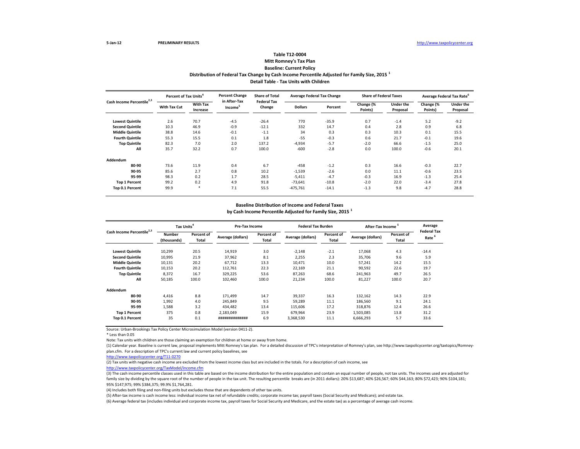### **Distribution of Federal Tax Change by Cash Income Percentile Adjusted for Family Size, 2015 <sup>1</sup> Detail Table - Tax Units with Children Table T12-0004 Mitt Romney's Tax Plan Baseline: Current Policy**

| Cash Income Percentile <sup>2,3</sup> | Percent of Tax Units <sup>4</sup> |                             | <b>Percent Change</b><br>in After-Tax | <b>Share of Total</b><br><b>Federal Tax</b> |                | <b>Average Federal Tax Change</b> | <b>Share of Federal Taxes</b> |                       |                      | Average Federal Tax Rate <sup>o</sup> |
|---------------------------------------|-----------------------------------|-----------------------------|---------------------------------------|---------------------------------------------|----------------|-----------------------------------|-------------------------------|-----------------------|----------------------|---------------------------------------|
|                                       | <b>With Tax Cut</b>               | <b>With Tax</b><br>Increase | Income <sup>3</sup>                   | Change                                      | <b>Dollars</b> | Percent                           | Change (%<br>Points)          | Under the<br>Proposal | Change (%<br>Points) | <b>Under the</b><br>Proposal          |
| <b>Lowest Quintile</b>                | 2.6                               | 70.7                        | $-4.5$                                | $-26.4$                                     | 770            | $-35.9$                           | 0.7                           | $-1.4$                | 5.2                  | $-9.2$                                |
| <b>Second Quintile</b>                | 10.3                              | 46.9                        | $-0.9$                                | $-12.1$                                     | 332            | 14.7                              | 0.4                           | 2.8                   | 0.9                  | 6.8                                   |
| <b>Middle Quintile</b>                | 38.8                              | 14.6                        | $-0.1$                                | $-1.1$                                      | 34             | 0.3                               | 0.3                           | 10.3                  | 0.1                  | 15.5                                  |
| <b>Fourth Quintile</b>                | 55.3                              | 15.5                        | 0.1                                   | 1.8                                         | $-55$          | $-0.3$                            | 0.6                           | 21.7                  | $-0.1$               | 19.6                                  |
| <b>Top Quintile</b>                   | 82.3                              | 7.0                         | 2.0                                   | 137.2                                       | $-4,934$       | $-5.7$                            | $-2.0$                        | 66.6                  | $-1.5$               | 25.0                                  |
| All                                   | 35.7                              | 32.2                        | 0.7                                   | 100.0                                       | $-600$         | $-2.8$                            | 0.0                           | 100.0                 | $-0.6$               | 20.1                                  |
| <b>Addendum</b>                       |                                   |                             |                                       |                                             |                |                                   |                               |                       |                      |                                       |
| 80-90                                 | 73.6                              | 11.9                        | 0.4                                   | 6.7                                         | $-458$         | $-1.2$                            | 0.3                           | 16.6                  | $-0.3$               | 22.7                                  |
| 90-95                                 | 85.6                              | 2.7                         | 0.8                                   | 10.2                                        | $-1,539$       | $-2.6$                            | 0.0                           | 11.1                  | $-0.6$               | 23.5                                  |
| 95-99                                 | 98.3                              | 0.2                         | 1.7                                   | 28.5                                        | $-5,411$       | $-4.7$                            | $-0.3$                        | 16.9                  | $-1.3$               | 25.4                                  |
| <b>Top 1 Percent</b>                  | 99.2                              | 0.2                         | 4.9                                   | 91.8                                        | $-73,641$      | $-10.8$                           | $-2.0$                        | 22.0                  | $-3.4$               | 27.8                                  |
| Top 0.1 Percent                       | 99.9                              | ۰                           | 7.1                                   | 55.5                                        | $-475,761$     | $-14.1$                           | $-1.3$                        | 9.8                   | $-4.7$               | 28.8                                  |

#### **Baseline Distribution of Income and Federal Taxes**

**by Cash Income Percentile Adjusted for Family Size, 2015 <sup>1</sup>**

| Cash Income Percentile <sup>2,3</sup> | Tax Units <sup>4</sup>       |                     | Pre-Tax Income    |                     | <b>Federal Tax Burden</b> |                     | <b>After-Tax Income</b> |                     | Average                                 |
|---------------------------------------|------------------------------|---------------------|-------------------|---------------------|---------------------------|---------------------|-------------------------|---------------------|-----------------------------------------|
|                                       | <b>Number</b><br>(thousands) | Percent of<br>Total | Average (dollars) | Percent of<br>Total | Average (dollars)         | Percent of<br>Total | Average (dollars)       | Percent of<br>Total | <b>Federal Tax</b><br>Rate <sup>6</sup> |
| <b>Lowest Quintile</b>                | 10,299                       | 20.5                | 14,919            | 3.0                 | $-2,148$                  | $-2.1$              | 17,068                  | 4.3                 | $-14.4$                                 |
| <b>Second Quintile</b>                | 10,995                       | 21.9                | 37.962            | 8.1                 | 2,255                     | 2.3                 | 35,706                  | 9.6                 | 5.9                                     |
| <b>Middle Quintile</b>                | 10,131                       | 20.2                | 67,712            | 13.3                | 10,471                    | 10.0                | 57,241                  | 14.2                | 15.5                                    |
| <b>Fourth Quintile</b>                | 10,153                       | 20.2                | 112,761           | 22.3                | 22,169                    | 21.1                | 90,592                  | 22.6                | 19.7                                    |
| <b>Top Quintile</b>                   | 8,372                        | 16.7                | 329,225           | 53.6                | 87,263                    | 68.6                | 241,963                 | 49.7                | 26.5                                    |
| All                                   | 50,185                       | 100.0               | 102.460           | 100.0               | 21,234                    | 100.0               | 81,227                  | 100.0               | 20.7                                    |
| Addendum                              |                              |                     |                   |                     |                           |                     |                         |                     |                                         |
| 80-90                                 | 4,416                        | 8.8                 | 171,499           | 14.7                | 39,337                    | 16.3                | 132,162                 | 14.3                | 22.9                                    |
| 90-95                                 | 1,992                        | 4.0                 | 245,849           | 9.5                 | 59,289                    | 11.1                | 186,560                 | 9.1                 | 24.1                                    |
| 95-99                                 | 1,588                        | 3.2                 | 434,482           | 13.4                | 115,606                   | 17.2                | 318,876                 | 12.4                | 26.6                                    |
| <b>Top 1 Percent</b>                  | 375                          | 0.8                 | 2,183,049         | 15.9                | 679,964                   | 23.9                | 1,503,085               | 13.8                | 31.2                                    |
| Top 0.1 Percent                       | 35                           | 0.1                 | ***************   | 6.9                 | 3,368,530                 | 11.1                | 6,666,293               | 5.7                 | 33.6                                    |

Source: Urban-Brookings Tax Policy Center Microsimulation Model (version 0411-2).

\* Less than 0.05

Note: Tax units with children are those claiming an exemption for children at home or away from home.

(1) Calendar year. Baseline is current law, proposal implements Mitt Romney's tax plan. For a detailed discussion of TPC's interpretation of Romney's plan, see http://www.taxpolicycenter.org/taxtopics/Romneyplan.cfm. For a description of TPC's current law and current policy baselines, see

[http://www.taxpolicycente](http://www.taxpolicycenter.org/T11-0270)r.org/T11-0270

(2) Tax units with negative cash income are excluded from the lowest income class but are included in the totals. For a description of cash income, see

[http://www.taxpolicycente](http://www.taxpolicycenter.org/TaxModel/income.cfm)r.org/TaxModel/income.cfm

(3) The cash income percentile classes used in this table are based on the income distribution for the entire population and contain an equal number of people, not tax units. The incomes used are adjusted for family size by dividing by the square root of the number of people in the tax unit. The resulting percentile breaks are (in 2011 dollars): 20% \$13,687; 40% \$26,567; 60% \$44,163; 80% \$72,423; 90% \$104,181; 95% \$147,975; 99% \$384,375; 99.9% \$1,764,281.

(4) Includes both filing and non-filing units but excludes those that are dependents of other tax units.

(5) After-tax income is cash income less: individual income tax net of refundable credits; corporate income tax; payroll taxes (Social Security and Medicare); and estate tax.